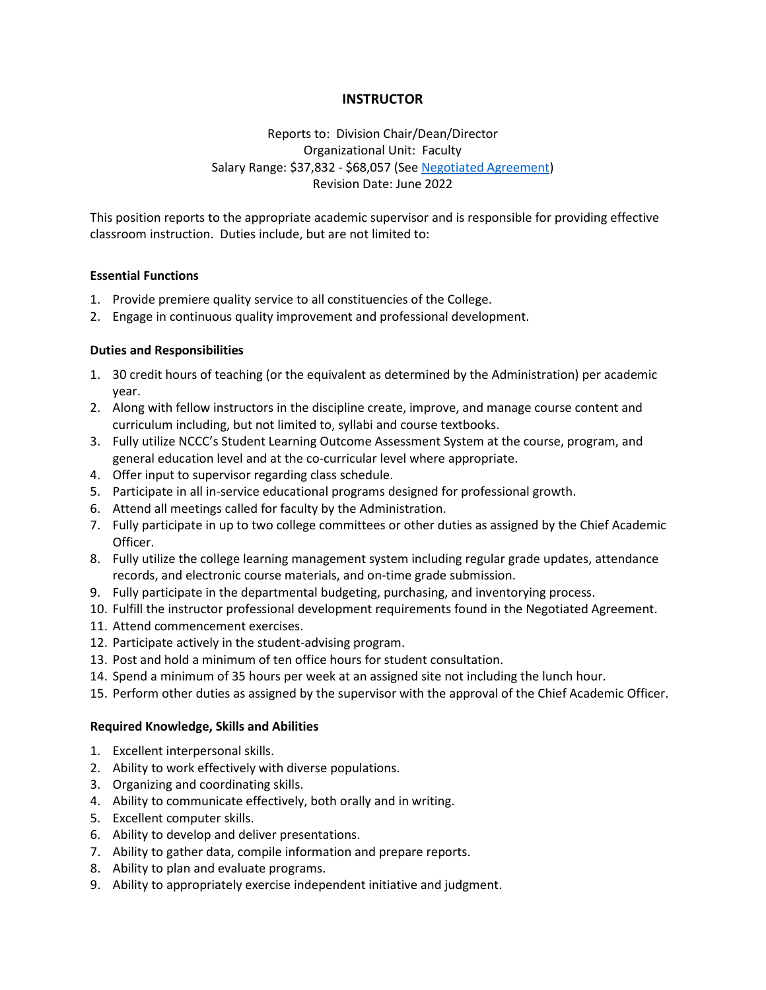# **INSTRUCTOR**

Reports to: Division Chair/Dean/Director Organizational Unit: Faculty Salary Range: \$37,832 - \$68,057 (See [Negotiated Agreement\)](http://www.neosho.edu/Portals/0/Departments/hr/PEA_Negotiated_Agreement.pdf) Revision Date: June 2022

This position reports to the appropriate academic supervisor and is responsible for providing effective classroom instruction. Duties include, but are not limited to:

## **Essential Functions**

- 1. Provide premiere quality service to all constituencies of the College.
- 2. Engage in continuous quality improvement and professional development.

## **Duties and Responsibilities**

- 1. 30 credit hours of teaching (or the equivalent as determined by the Administration) per academic year.
- 2. Along with fellow instructors in the discipline create, improve, and manage course content and curriculum including, but not limited to, syllabi and course textbooks.
- 3. Fully utilize NCCC's Student Learning Outcome Assessment System at the course, program, and general education level and at the co-curricular level where appropriate.
- 4. Offer input to supervisor regarding class schedule.
- 5. Participate in all in-service educational programs designed for professional growth.
- 6. Attend all meetings called for faculty by the Administration.
- 7. Fully participate in up to two college committees or other duties as assigned by the Chief Academic Officer.
- 8. Fully utilize the college learning management system including regular grade updates, attendance records, and electronic course materials, and on-time grade submission.
- 9. Fully participate in the departmental budgeting, purchasing, and inventorying process.
- 10. Fulfill the instructor professional development requirements found in the Negotiated Agreement.
- 11. Attend commencement exercises.
- 12. Participate actively in the student-advising program.
- 13. Post and hold a minimum of ten office hours for student consultation.
- 14. Spend a minimum of 35 hours per week at an assigned site not including the lunch hour.
- 15. Perform other duties as assigned by the supervisor with the approval of the Chief Academic Officer.

#### **Required Knowledge, Skills and Abilities**

- 1. Excellent interpersonal skills.
- 2. Ability to work effectively with diverse populations.
- 3. Organizing and coordinating skills.
- 4. Ability to communicate effectively, both orally and in writing.
- 5. Excellent computer skills.
- 6. Ability to develop and deliver presentations.
- 7. Ability to gather data, compile information and prepare reports.
- 8. Ability to plan and evaluate programs.
- 9. Ability to appropriately exercise independent initiative and judgment.